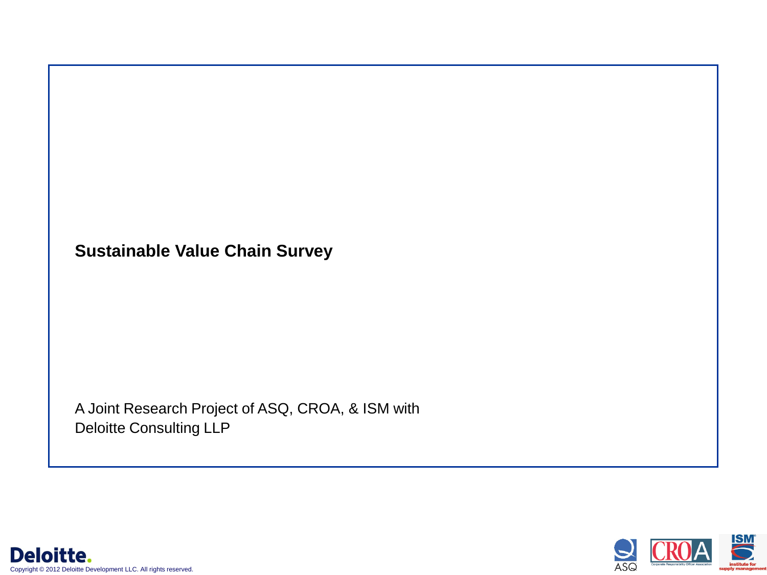**Sustainable Value Chain Survey**

A Joint Research Project of ASQ, CROA, & ISM with Deloitte Consulting LLP



Deloitte. Copyright © 2012 Deloitte Development LLC. All rights reserved.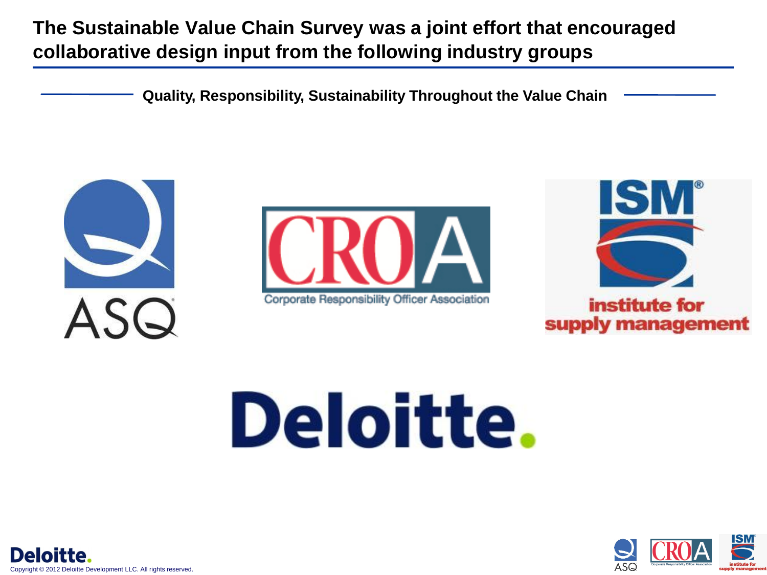# **The Sustainable Value Chain Survey was a joint effort that encouraged collaborative design input from the following industry groups**

**Quality, Responsibility, Sustainability Throughout the Value Chain**





Corporate Responsibility Officer Association



institute for supply management

# Deloitte.



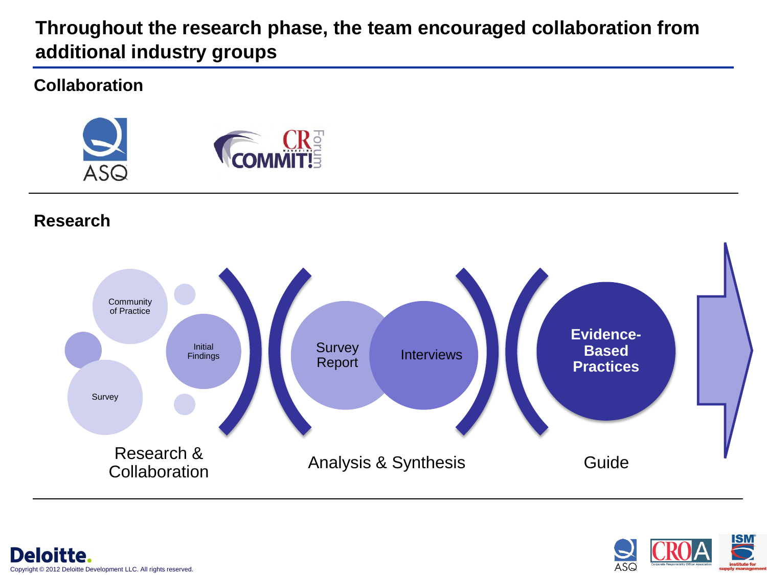### **Throughout the research phase, the team encouraged collaboration from additional industry groups**

#### **Collaboration**



#### **Research**





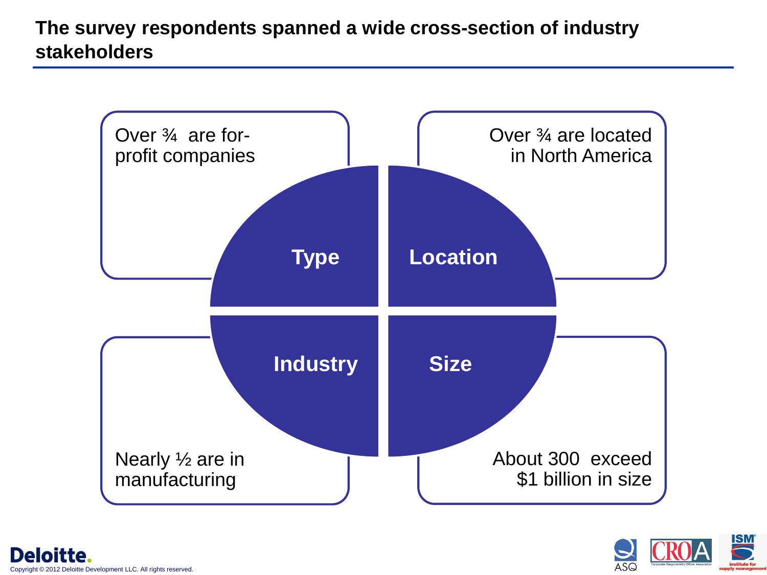## **The survey respondents spanned a wide cross-section of industry stakeholders**



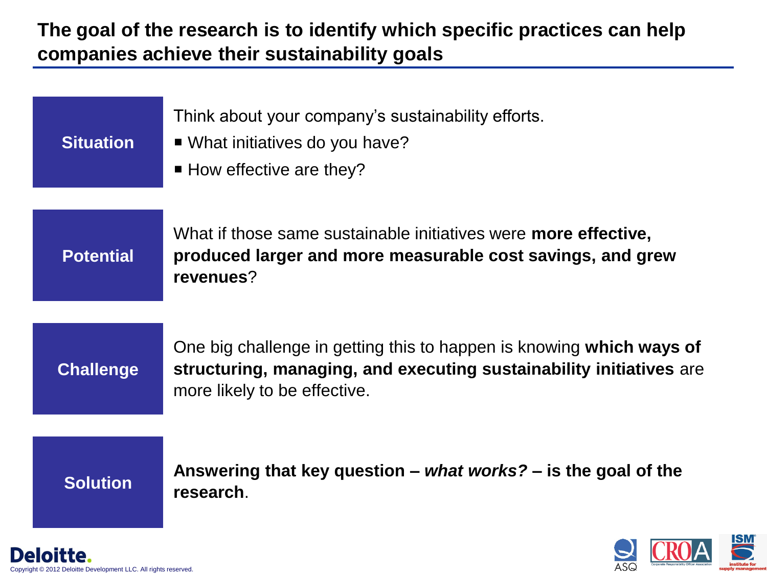#### **The goal of the research is to identify which specific practices can help companies achieve their sustainability goals**



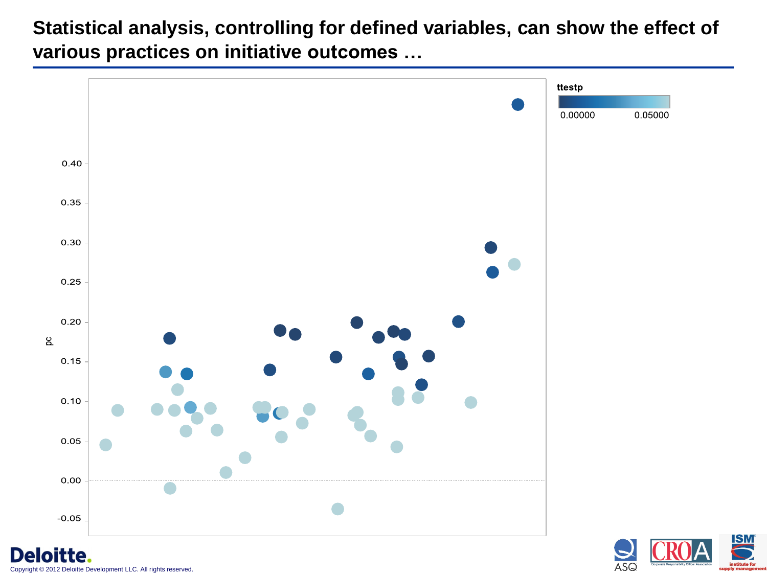**Statistical analysis, controlling for defined variables, can show the effect of various practices on initiative outcomes …**



ASQ

itte. © 2012 Deloitte Development LLC. All rights reserved.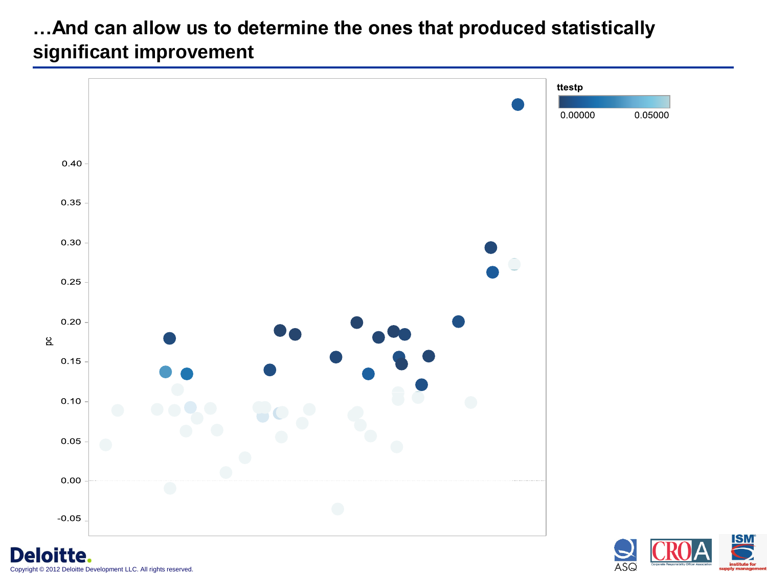#### **…And can allow us to determine the ones that produced statistically significant improvement**



loitte. Copyright © 2012 Deloitte Development LLC. All rights reserved.

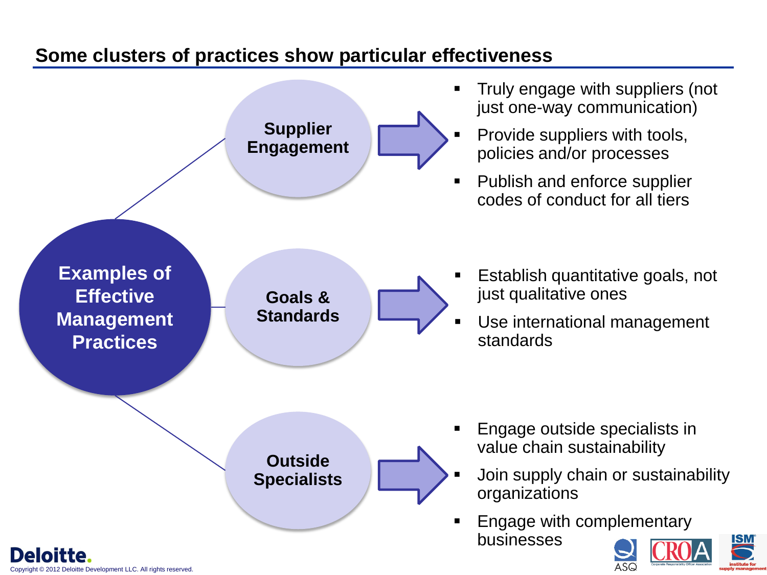#### **Some clusters of practices show particular effectiveness**



2012 Deloitte Development LLC. All rights reserved.

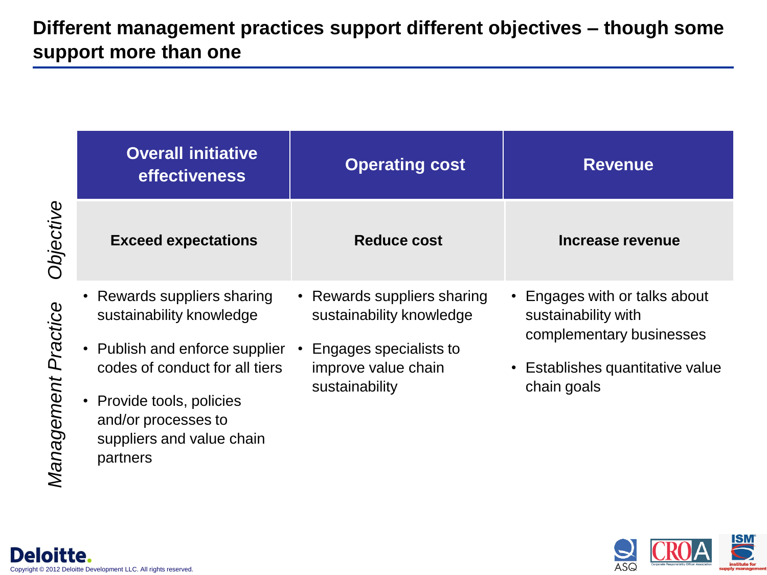|                     | <b>Overall initiative</b><br><b>effectiveness</b>                                                                                                                                                                  | <b>Operating cost</b>                                                                                                      | <b>Revenue</b>                                                                                                                      |
|---------------------|--------------------------------------------------------------------------------------------------------------------------------------------------------------------------------------------------------------------|----------------------------------------------------------------------------------------------------------------------------|-------------------------------------------------------------------------------------------------------------------------------------|
| Objective           | <b>Exceed expectations</b>                                                                                                                                                                                         | <b>Reduce cost</b>                                                                                                         | Increase revenue                                                                                                                    |
| Management Practice | Rewards suppliers sharing<br>sustainability knowledge<br>Publish and enforce supplier<br>codes of conduct for all tiers<br>Provide tools, policies<br>and/or processes to<br>suppliers and value chain<br>partners | • Rewards suppliers sharing<br>sustainability knowledge<br>Engages specialists to<br>improve value chain<br>sustainability | • Engages with or talks about<br>sustainability with<br>complementary businesses<br>• Establishes quantitative value<br>chain goals |

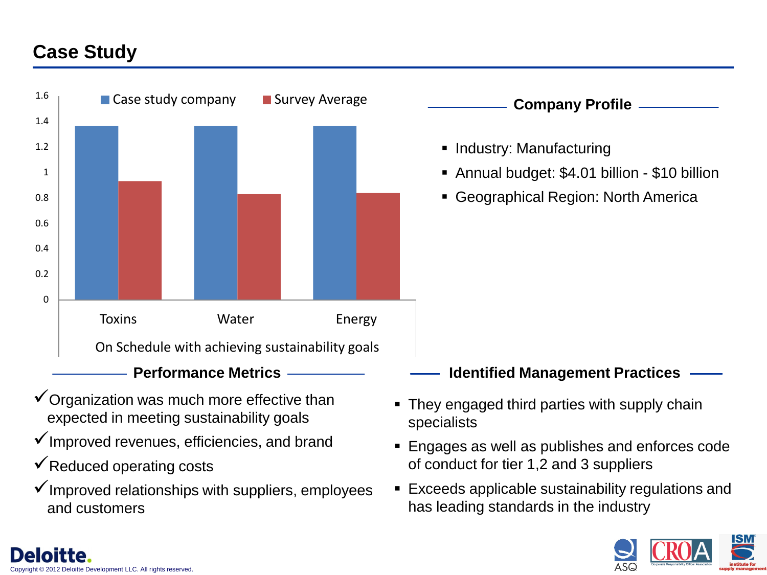#### **Case Study**



- $\checkmark$  Organization was much more effective than expected in meeting sustainability goals
- $\checkmark$  Improved revenues, efficiencies, and brand
- $\checkmark$  Reduced operating costs

loitte Development LLC. All rights reserved

 $\checkmark$  Improved relationships with suppliers, employees and customers

- They engaged third parties with supply chain specialists
- **Engages as well as publishes and enforces code** of conduct for tier 1,2 and 3 suppliers
- Exceeds applicable sustainability regulations and has leading standards in the industry

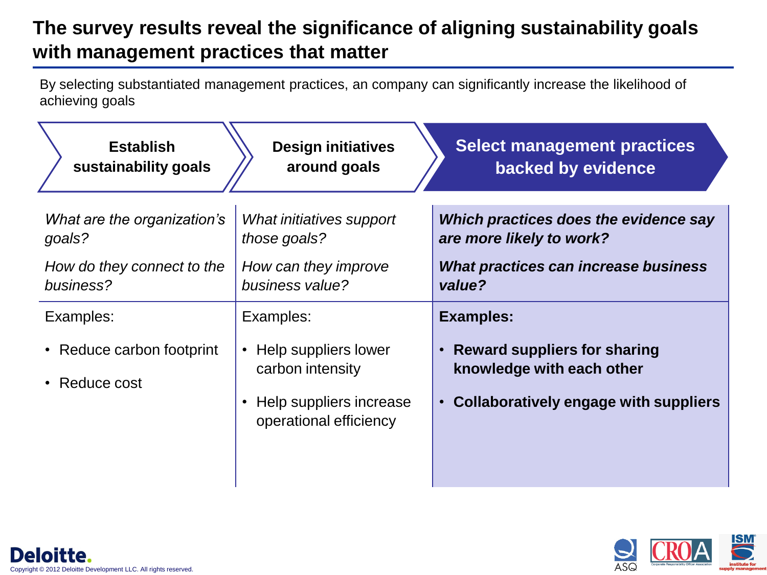# **The survey results reveal the significance of aligning sustainability goals with management practices that matter**

By selecting substantiated management practices, an company can significantly increase the likelihood of achieving goals

| <b>Establish</b>                           | <b>Design initiatives</b>                                                        | <b>Select management practices</b>                                                                                                  |
|--------------------------------------------|----------------------------------------------------------------------------------|-------------------------------------------------------------------------------------------------------------------------------------|
| sustainability goals                       | around goals                                                                     | backed by evidence                                                                                                                  |
| What are the organization's                | What initiatives support                                                         | Which practices does the evidence say                                                                                               |
| goals?                                     | those goals?                                                                     | are more likely to work?                                                                                                            |
| How do they connect to the                 | How can they improve                                                             | What practices can increase business                                                                                                |
| business?                                  | business value?                                                                  | value?                                                                                                                              |
| Examples:                                  | Examples:                                                                        | <b>Examples:</b>                                                                                                                    |
| • Reduce carbon footprint<br>• Reduce cost | Help suppliers lower<br>$\bullet$<br>carbon intensity<br>Help suppliers increase | <b>Reward suppliers for sharing</b><br>$\bullet$<br>knowledge with each other<br>Collaboratively engage with suppliers<br>$\bullet$ |
|                                            | operational efficiency                                                           |                                                                                                                                     |



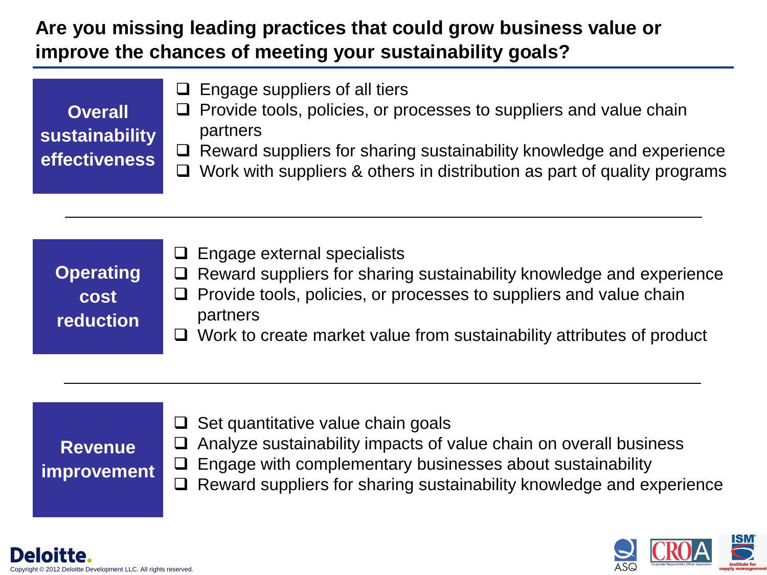## **Are you missing leading practices that could grow business value or improve the chances of meeting your sustainability goals?**

|                | $\Box$ Engage suppliers of all tiers                                            |  |
|----------------|---------------------------------------------------------------------------------|--|
| <b>Overall</b> | $\Box$ Provide tools, policies, or processes to suppliers and value chain       |  |
| sustainability | partners                                                                        |  |
| effectiveness  | $\Box$ Reward suppliers for sharing sustainability knowledge and experience     |  |
|                | $\Box$ Work with suppliers & others in distribution as part of quality programs |  |



# **Revenue improvement**

- $\Box$  Set quantitative value chain goals
	- Analyze sustainability impacts of value chain on overall business
- $\Box$  Engage with complementary businesses about sustainability
- $\Box$  Reward suppliers for sharing sustainability knowledge and experience

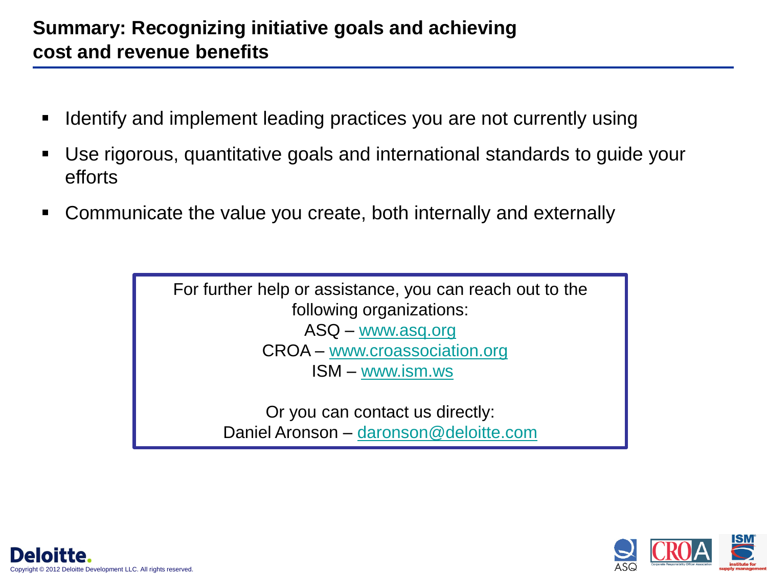#### **Summary: Recognizing initiative goals and achieving cost and revenue benefits**

- Identify and implement leading practices you are not currently using
- Use rigorous, quantitative goals and international standards to guide your efforts
- Communicate the value you create, both internally and externally

For further help or assistance, you can reach out to the following organizations: ASQ – [www.asq.org](http://www.asq.org/) CROA – [www.croassociation.org](http://www.croassociation.org/) ISM – [www.ism.ws](http://www.ism.ws/)

> Or you can contact us directly: Daniel Aronson – [daronson@deloitte.com](mailto:daronson@deloitte.com)



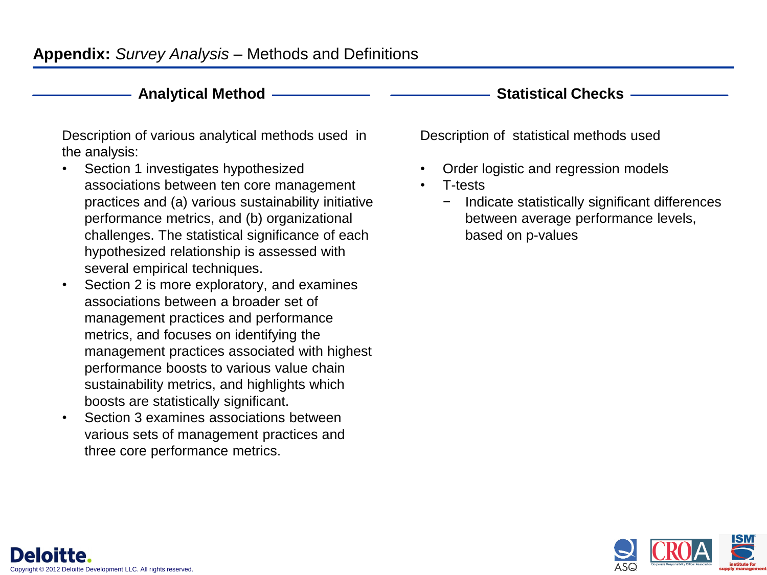#### **Appendix:** *Survey Analysis* – Methods and Definitions

#### **Analytical Method**

Description of various analytical methods used in the analysis:

- Section 1 investigates hypothesized associations between ten core management practices and (a) various sustainability initiative performance metrics, and (b) organizational challenges. The statistical significance of each hypothesized relationship is assessed with several empirical techniques.
- Section 2 is more exploratory, and examines associations between a broader set of management practices and performance metrics, and focuses on identifying the management practices associated with highest performance boosts to various value chain sustainability metrics, and highlights which boosts are statistically significant.
- Section 3 examines associations between various sets of management practices and three core performance metrics.

**Statistical Checks**

Description of statistical methods used

- Order logistic and regression models
- T-tests
	- − Indicate statistically significant differences between average performance levels, based on p-values

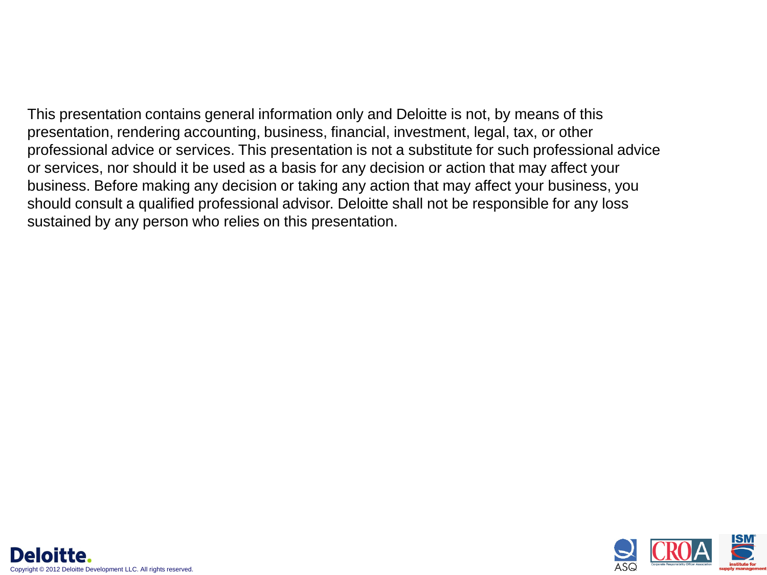This presentation contains general information only and Deloitte is not, by means of this presentation, rendering accounting, business, financial, investment, legal, tax, or other professional advice or services. This presentation is not a substitute for such professional advice or services, nor should it be used as a basis for any decision or action that may affect your business. Before making any decision or taking any action that may affect your business, you should consult a qualified professional advisor. Deloitte shall not be responsible for any loss sustained by any person who relies on this presentation.

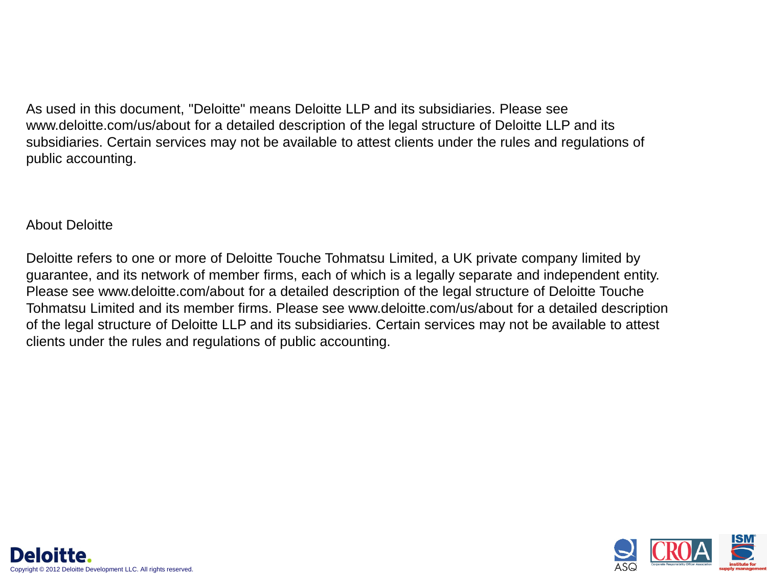As used in this document, "Deloitte" means Deloitte LLP and its subsidiaries. Please see www.deloitte.com/us/about for a detailed description of the legal structure of Deloitte LLP and its subsidiaries. Certain services may not be available to attest clients under the rules and regulations of public accounting.

#### About Deloitte

Deloitte refers to one or more of Deloitte Touche Tohmatsu Limited, a UK private company limited by guarantee, and its network of member firms, each of which is a legally separate and independent entity. Please see www.deloitte.com/about for a detailed description of the legal structure of Deloitte Touche Tohmatsu Limited and its member firms. Please see www.deloitte.com/us/about for a detailed description of the legal structure of Deloitte LLP and its subsidiaries. Certain services may not be available to attest clients under the rules and regulations of public accounting.